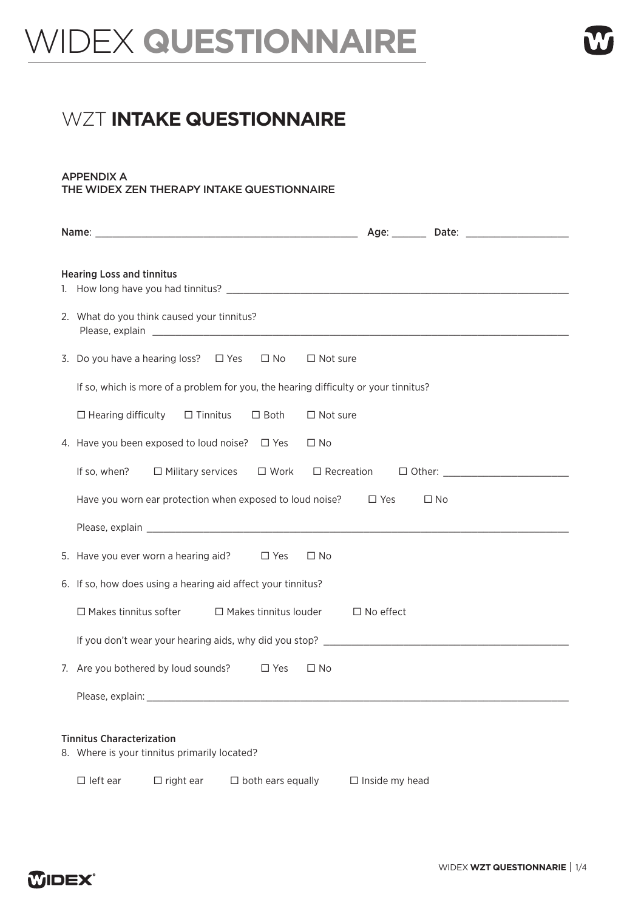## WIDEX **QUESTIONNAIRE**

## **WZT INTAKE QUESTIONNAIRE**

## APPENDIX A THE WIDEX ZEN THERAPY INTAKE QUESTIONNAIRE

| <b>Hearing Loss and tinnitus</b>                                                                                                                                                                                                                                             |                       |  |  |  |  |  |
|------------------------------------------------------------------------------------------------------------------------------------------------------------------------------------------------------------------------------------------------------------------------------|-----------------------|--|--|--|--|--|
| 2. What do you think caused your tinnitus?<br>Please, explain explaint and the set of the set of the set of the set of the set of the set of the set of the set of the set of the set of the set of the set of the set of the set of the set of the set of the set of the se |                       |  |  |  |  |  |
| 3. Do you have a hearing loss? $\Box$ Yes $\Box$ No<br>$\Box$ Not sure                                                                                                                                                                                                       |                       |  |  |  |  |  |
| If so, which is more of a problem for you, the hearing difficulty or your tinnitus?                                                                                                                                                                                          |                       |  |  |  |  |  |
| $\Box$ Hearing difficulty<br>$\Box$ Tinnitus<br>$\Box$ Not sure<br>$\Box$ Both                                                                                                                                                                                               |                       |  |  |  |  |  |
| 4. Have you been exposed to loud noise? $\Box$ Yes<br>$\Box$ No                                                                                                                                                                                                              |                       |  |  |  |  |  |
| If so, when? $\Box$ Military services $\Box$ Work                                                                                                                                                                                                                            |                       |  |  |  |  |  |
| Have you worn ear protection when exposed to loud noise? $\Box$ Yes                                                                                                                                                                                                          | $\square$ No          |  |  |  |  |  |
|                                                                                                                                                                                                                                                                              |                       |  |  |  |  |  |
| 5. Have you ever worn a hearing aid? $\square$ Yes<br>$\Box$ No                                                                                                                                                                                                              |                       |  |  |  |  |  |
| 6. If so, how does using a hearing aid affect your tinnitus?                                                                                                                                                                                                                 |                       |  |  |  |  |  |
| $\Box$ Makes tinnitus softer $\Box$ Makes tinnitus louder                                                                                                                                                                                                                    | $\Box$ No effect      |  |  |  |  |  |
|                                                                                                                                                                                                                                                                              |                       |  |  |  |  |  |
| 7. Are you bothered by loud sounds? $\square$ Yes<br>$\Box$ No                                                                                                                                                                                                               |                       |  |  |  |  |  |
|                                                                                                                                                                                                                                                                              |                       |  |  |  |  |  |
| <b>Tinnitus Characterization</b><br>8. Where is your tinnitus primarily located?                                                                                                                                                                                             |                       |  |  |  |  |  |
| $\Box$ left ear<br>$\Box$ right ear<br>$\Box$ both ears equally                                                                                                                                                                                                              | $\Box$ Inside my head |  |  |  |  |  |

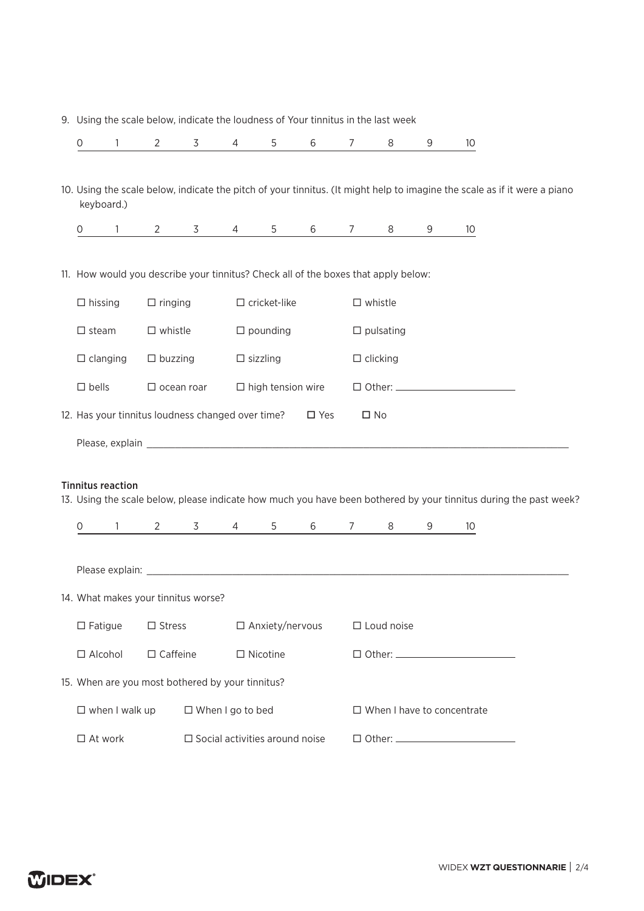|  |  |  |  | 9. Using the scale below, indicate the loudness of Your tinnitus in the last week |
|--|--|--|--|-----------------------------------------------------------------------------------|
|--|--|--|--|-----------------------------------------------------------------------------------|

| 0                                    | 1                                                       | $\overline{2}$ | 3                                                                                  | 4                      | 5                        | 6             | $\overline{7}$      | 8                 | 9 | 10 <sup>°</sup>                                                                                                           |  |  |  |
|--------------------------------------|---------------------------------------------------------|----------------|------------------------------------------------------------------------------------|------------------------|--------------------------|---------------|---------------------|-------------------|---|---------------------------------------------------------------------------------------------------------------------------|--|--|--|
|                                      |                                                         |                |                                                                                    |                        |                          |               |                     |                   |   |                                                                                                                           |  |  |  |
| keyboard.)                           |                                                         |                |                                                                                    |                        |                          |               |                     |                   |   | 10. Using the scale below, indicate the pitch of your tinnitus. (It might help to imagine the scale as if it were a piano |  |  |  |
| 0                                    | $\mathbf{1}$                                            | 2              | 3                                                                                  | 4                      | 5                        | 6             | $\overline{7}$      | 8                 | 9 | 10                                                                                                                        |  |  |  |
|                                      |                                                         |                |                                                                                    |                        |                          |               |                     |                   |   |                                                                                                                           |  |  |  |
|                                      |                                                         |                | 11. How would you describe your tinnitus? Check all of the boxes that apply below: |                        |                          |               |                     |                   |   |                                                                                                                           |  |  |  |
| $\Box$ hissing                       |                                                         | $\Box$ ringing |                                                                                    |                        | $\Box$ cricket-like      |               |                     | $\square$ whistle |   |                                                                                                                           |  |  |  |
|                                      | $\Box$ pounding<br>$\Box$ steam<br>$\square$ whistle    |                |                                                                                    |                        |                          |               | $\square$ pulsating |                   |   |                                                                                                                           |  |  |  |
|                                      | $\Box$ sizzling<br>$\Box$ clanging<br>$\Box$ buzzing    |                |                                                                                    |                        |                          |               | $\Box$ clicking     |                   |   |                                                                                                                           |  |  |  |
| $\square$ bells<br>$\Box$ ocean roar |                                                         |                |                                                                                    |                        | $\Box$ high tension wire |               |                     |                   |   |                                                                                                                           |  |  |  |
|                                      |                                                         |                | 12. Has your tinnitus loudness changed over time?                                  |                        |                          | $\square$ Yes |                     | $\square$ No      |   |                                                                                                                           |  |  |  |
|                                      |                                                         |                |                                                                                    |                        |                          |               |                     |                   |   |                                                                                                                           |  |  |  |
|                                      |                                                         |                |                                                                                    |                        |                          |               |                     |                   |   |                                                                                                                           |  |  |  |
| <b>Tinnitus reaction</b>             |                                                         |                |                                                                                    |                        |                          |               |                     |                   |   | 13. Using the scale below, please indicate how much you have been bothered by your tinnitus during the past week?         |  |  |  |
| 0                                    | $\mathbf{1}$                                            | $\mathbf{2}$   | 3                                                                                  | $\overline{4}$         | 5                        | 6             | $\overline{7}$      | 8                 | 9 | 10                                                                                                                        |  |  |  |
|                                      |                                                         |                |                                                                                    |                        |                          |               |                     |                   |   |                                                                                                                           |  |  |  |
|                                      |                                                         |                |                                                                                    |                        |                          |               |                     |                   |   |                                                                                                                           |  |  |  |
|                                      |                                                         |                | 14. What makes your tinnitus worse?                                                |                        |                          |               |                     |                   |   |                                                                                                                           |  |  |  |
| $\Box$ Fatigue<br>$\square$ Stress   |                                                         |                |                                                                                    | $\Box$ Anxiety/nervous |                          |               | $\Box$ Loud noise   |                   |   |                                                                                                                           |  |  |  |
| $\Box$ Alcohol                       | $\Box$ Caffeine<br>$\Box$ Nicotine                      |                |                                                                                    |                        |                          |               |                     |                   |   |                                                                                                                           |  |  |  |
|                                      |                                                         |                | 15. When are you most bothered by your tinnitus?                                   |                        |                          |               |                     |                   |   |                                                                                                                           |  |  |  |
| $\square$ when I walk up             |                                                         |                | $\Box$ When I go to bed                                                            |                        |                          |               |                     |                   |   | $\Box$ When I have to concentrate                                                                                         |  |  |  |
|                                      | $\Box$ At work<br>$\Box$ Social activities around noise |                |                                                                                    |                        |                          |               |                     |                   |   |                                                                                                                           |  |  |  |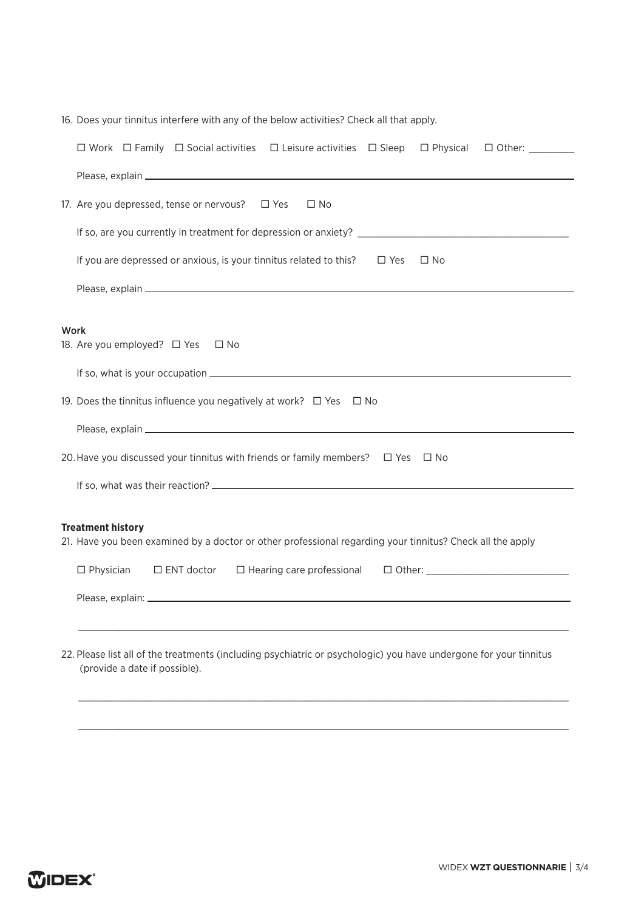| 16. Does your tinnitus interfere with any of the below activities? Check all that apply.                                                           |  |  |  |  |  |  |  |  |
|----------------------------------------------------------------------------------------------------------------------------------------------------|--|--|--|--|--|--|--|--|
| $\Box$ Work $\Box$ Family $\Box$ Social activities $\Box$ Leisure activities $\Box$ Sleep<br>$\Box$ Physical                                       |  |  |  |  |  |  |  |  |
|                                                                                                                                                    |  |  |  |  |  |  |  |  |
| 17. Are you depressed, tense or nervous? □ Yes<br>$\Box$ No                                                                                        |  |  |  |  |  |  |  |  |
|                                                                                                                                                    |  |  |  |  |  |  |  |  |
| If you are depressed or anxious, is your tinnitus related to this?<br>$\Box$ Yes<br>$\Box$ No                                                      |  |  |  |  |  |  |  |  |
|                                                                                                                                                    |  |  |  |  |  |  |  |  |
| Work                                                                                                                                               |  |  |  |  |  |  |  |  |
| 18. Are you employed? □ Yes □ No                                                                                                                   |  |  |  |  |  |  |  |  |
|                                                                                                                                                    |  |  |  |  |  |  |  |  |
| 19. Does the tinnitus influence you negatively at work? $\Box$ Yes $\Box$ No                                                                       |  |  |  |  |  |  |  |  |
|                                                                                                                                                    |  |  |  |  |  |  |  |  |
| 20. Have you discussed your tinnitus with friends or family members? $\Box$ Yes $\Box$ No                                                          |  |  |  |  |  |  |  |  |
|                                                                                                                                                    |  |  |  |  |  |  |  |  |
|                                                                                                                                                    |  |  |  |  |  |  |  |  |
| <b>Treatment history</b><br>21. Have you been examined by a doctor or other professional regarding your tinnitus? Check all the apply              |  |  |  |  |  |  |  |  |
| $\Box$ Physician<br>$\Box$ ENT doctor $\Box$ Hearing care professional                                                                             |  |  |  |  |  |  |  |  |
| Please, explain: ______________                                                                                                                    |  |  |  |  |  |  |  |  |
|                                                                                                                                                    |  |  |  |  |  |  |  |  |
| 22. Please list all of the treatments (including psychiatric or psychologic) you have undergone for your tinnitus<br>(provide a date if possible). |  |  |  |  |  |  |  |  |
|                                                                                                                                                    |  |  |  |  |  |  |  |  |